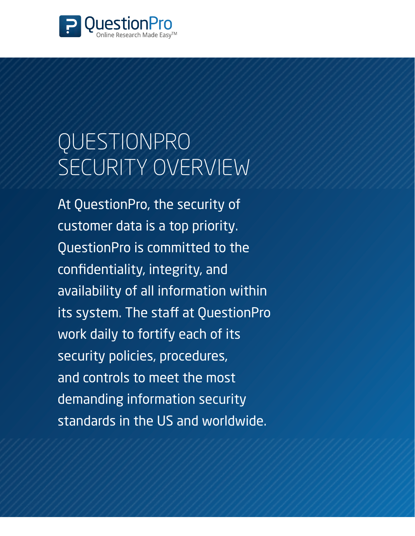

# QuestionPro Security Overview

At QuestionPro, the security of customer data is a top priority. QuestionPro is committed to the confidentiality, integrity, and availability of all information within its system. The staff at QuestionPro work daily to fortify each of its security policies, procedures, and controls to meet the most demanding information security standards in the US and worldwide.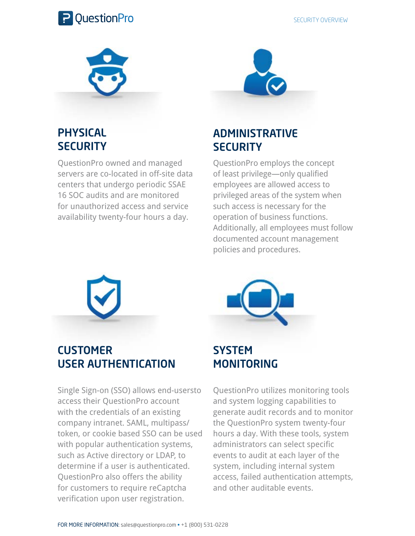

security overview



#### **PHYSICAL SECURITY**

QuestionPro owned and managed servers are co-located in off-site data centers that undergo periodic SSAE 16 SOC audits and are monitored for unauthorized access and service availability twenty-four hours a day.



#### Administrative **SECURITY**

QuestionPro employs the concept of least privilege—only qualified employees are allowed access to privileged areas of the system when such access is necessary for the operation of business functions. Additionally, all employees must follow documented account management policies and procedures.



**CUSTOMER** User Authentication

Single Sign-on (SSO) allows end-usersto access their QuestionPro account with the credentials of an existing company intranet. SAML, multipass/ token, or cookie based SSO can be used with popular authentication systems, such as Active directory or LDAP, to determine if a user is authenticated. QuestionPro also offers the ability for customers to require reCaptcha verification upon user registration.



#### **SYSTEM MONITORING**

QuestionPro utilizes monitoring tools and system logging capabilities to generate audit records and to monitor the QuestionPro system twenty-four hours a day. With these tools, system administrators can select specific events to audit at each layer of the system, including internal system access, failed authentication attempts, and other auditable events.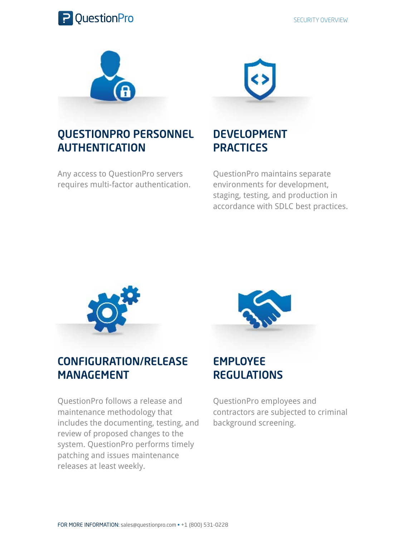



#### QuestionPro Personnel **AUTHENTICATION**

Any access to QuestionPro servers requires multi-factor authentication.

### **DEVELOPMENT PRACTICES**

QuestionPro maintains separate environments for development, staging, testing, and production in accordance with SDLC best practices.



#### Configuration/Release **MANAGEMENT**

QuestionPro follows a release and maintenance methodology that includes the documenting, testing, and review of proposed changes to the system. QuestionPro performs timely patching and issues maintenance releases at least weekly.



#### **EMPLOYEE REGULATIONS**

QuestionPro employees and contractors are subjected to criminal background screening.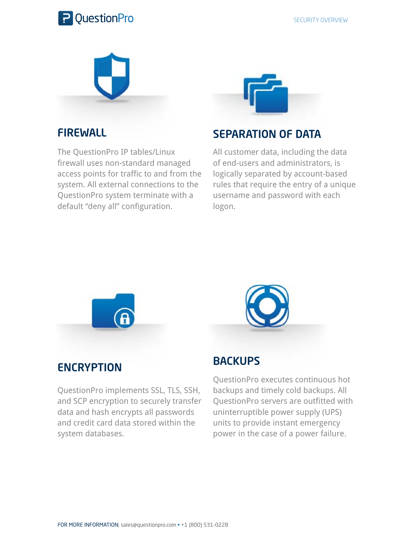



#### **FIREWALL**

The QuestionPro IP tables/Linux firewall uses non-standard managed access points for traffic to and from the system. All external connections to the QuestionPro system terminate with a default "deny all" configuration.



#### separation of data

All customer data, including the data of end-users and administrators, is logically separated by account-based rules that require the entry of a unique username and password with each logon.



## **ENCRYPTION**

QuestionPro implements SSL, TLS, SSH, and SCP encryption to securely transfer data and hash encrypts all passwords and credit card data stored within the system databases.



#### **BACKUPS**

QuestionPro executes continuous hot backups and timely cold backups. All QuestionPro servers are outfitted with uninterruptible power supply (UPS) units to provide instant emergency power in the case of a power failure.